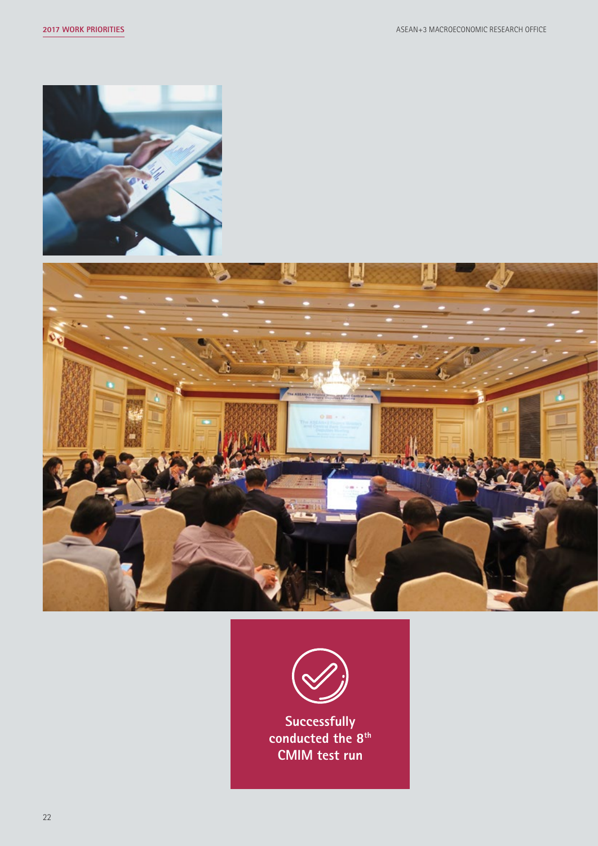





**Successfully conducted the 8th CMIM test run**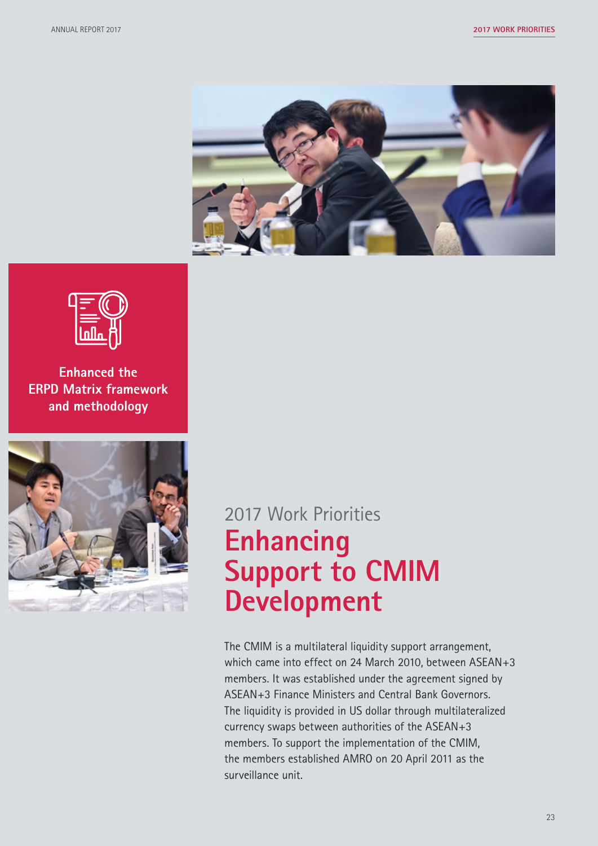



**Enhanced the ERPD Matrix framework and methodology** 



# 2017 Work Priorities **Enhancing Support to CMIM Development**

The CMIM is a multilateral liquidity support arrangement, which came into effect on 24 March 2010, between ASEAN+3 members. It was established under the agreement signed by ASEAN+3 Finance Ministers and Central Bank Governors. The liquidity is provided in US dollar through multilateralized currency swaps between authorities of the ASEAN+3 members. To support the implementation of the CMIM, the members established AMRO on 20 April 2011 as the surveillance unit.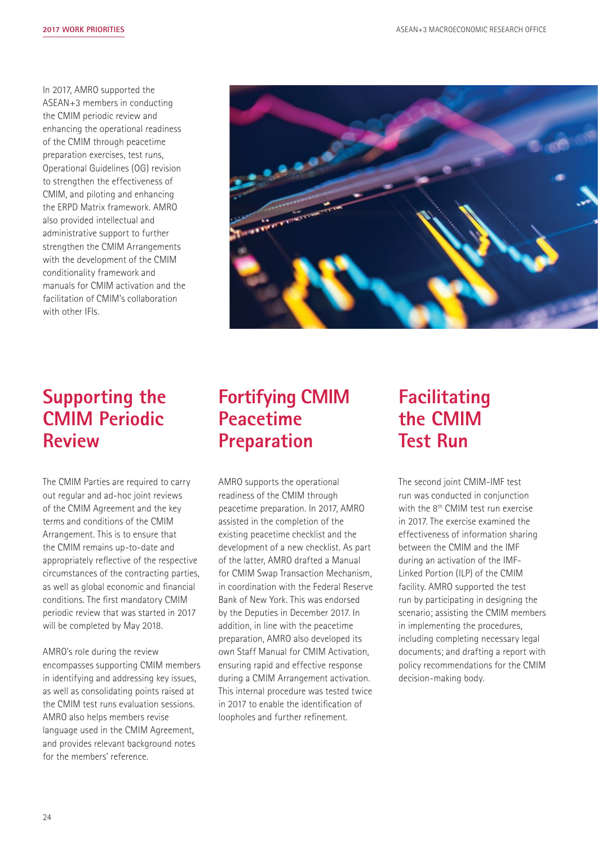In 2017, AMRO supported the ASEAN+3 members in conducting the CMIM periodic review and enhancing the operational readiness of the CMIM through peacetime preparation exercises, test runs, Operational Guidelines (OG) revision to strengthen the effectiveness of CMIM, and piloting and enhancing the ERPD Matrix framework. AMRO also provided intellectual and administrative support to further strengthen the CMIM Arrangements with the development of the CMIM conditionality framework and manuals for CMIM activation and the facilitation of CMIM's collaboration with other IFIs.



#### **Supporting the CMIM Periodic Review**

The CMIM Parties are required to carry out regular and ad-hoc joint reviews of the CMIM Agreement and the key terms and conditions of the CMIM Arrangement. This is to ensure that the CMIM remains up-to-date and appropriately reflective of the respective circumstances of the contracting parties, as well as global economic and financial conditions. The first mandatory CMIM periodic review that was started in 2017 will be completed by May 2018.

AMRO's role during the review encompasses supporting CMIM members in identifying and addressing key issues, as well as consolidating points raised at the CMIM test runs evaluation sessions. AMRO also helps members revise language used in the CMIM Agreement, and provides relevant background notes for the members' reference.

#### **Fortifying CMIM Peacetime Preparation**

AMRO supports the operational readiness of the CMIM through peacetime preparation. In 2017, AMRO assisted in the completion of the existing peacetime checklist and the development of a new checklist. As part of the latter, AMRO drafted a Manual for CMIM Swap Transaction Mechanism, in coordination with the Federal Reserve Bank of New York. This was endorsed by the Deputies in December 2017. In addition, in line with the peacetime preparation, AMRO also developed its own Staff Manual for CMIM Activation, ensuring rapid and effective response during a CMIM Arrangement activation. This internal procedure was tested twice in 2017 to enable the identification of loopholes and further refinement.

#### **Facilitating the CMIM Test Run**

The second joint CMIM-IMF test run was conducted in conjunction with the 8th CMIM test run exercise in 2017. The exercise examined the effectiveness of information sharing between the CMIM and the IMF during an activation of the IMF-Linked Portion (ILP) of the CMIM facility. AMRO supported the test run by participating in designing the scenario; assisting the CMIM members in implementing the procedures, including completing necessary legal documents; and drafting a report with policy recommendations for the CMIM decision-making body.